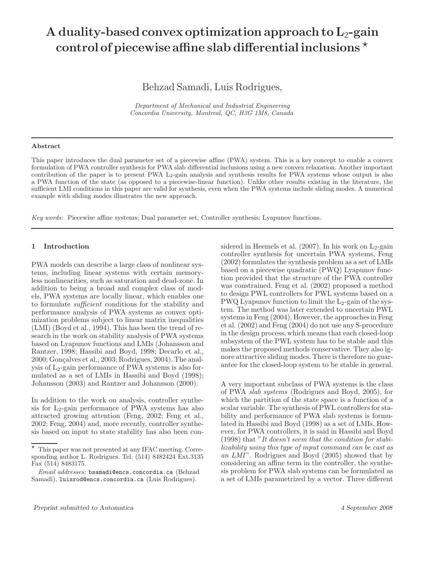# **A duality-based convex optimization approach to L**2**-gain control of piecewise affine slab differential inclusions** -

Behzad Samadi, Luis Rodrigues,

*Department of Mechanical and Industrial Engineering Concordia University, Montreal, QC, H3G 1M8, Canada*

### **Abstract**

This paper introduces the dual parameter set of a piecewise affine (PWA) system. This is a key concept to enable a convex formulation of PWA controller synthesis for PWA slab differential inclusions using a new convex relaxation. Another important contribution of the paper is to present PWA L<sub>2</sub>-gain analysis and synthesis results for PWA systems whose output is also a PWA function of the state (as opposed to a piecewise-linear function). Unlike other results existing in the literature, the sufficient LMI conditions in this paper are valid for synthesis, even when the PWA systems include sliding modes. A numerical example with sliding modes illustrates the new approach.

*Key words:* Piecewise affine systems; Dual parameter set, Controller synthesis; Lyapunov functions.

# **1 Introduction**

PWA models can describe a large class of nonlinear systems, including linear systems with certain memoryless nonlinearities, such as saturation and dead-zone. In addition to being a broad and complex class of models, PWA systems are locally linear, which enables one to formulate *sufficient* conditions for the stability and performance analysis of PWA systems as convex optimization problems subject to linear matrix inequalities (LMI) (Boyd et al., 1994). This has been the trend of research in the work on stability analysis of PWA systems based on Lyapunov functions and LMIs (Johansson and Rantzer, 1998; Hassibi and Boyd, 1998; Decarlo et al.,  $2000$ ; Goncalves et al.,  $2003$ ; Rodrigues,  $2004$ ). The analysis of  $L_2$ -gain performance of PWA systems is also formulated as a set of LMIs in Hassibi and Boyd (1998); Johansson (2003) and Rantzer and Johansson (2000).

In addition to the work on analysis, controller synthesis for  $L_2$ -gain performance of PWA systems has also attracted growing attention (Feng, 2002; Feng et al., 2002; Feng, 2004) and, more recently, controller synthesis based on input to state stability has also been considered in Heemels et al.  $(2007)$ . In his work on L<sub>2</sub>-gain controller synthesis for uncertain PWA systems, Feng (2002) formulates the synthesis problem as a set of LMIs based on a piecewise quadratic (PWQ) Lyapunov function provided that the structure of the PWA controller was constrained. Feng et al. (2002) proposed a method to design PWL controllers for PWL systems based on a PWQ Lyapunov function to limit the  $L_2$ -gain of the system. The method was later extended to uncertain PWL systems in Feng (2004). However, the approaches in Feng et al. (2002) and Feng (2004) do not use any S-procedure in the design process, which means that each closed-loop subsystem of the PWL system has to be stable and this makes the proposed methods conservative. They also ignore attractive sliding modes. There is therefore no guarantee for the closed-loop system to be stable in general.

A very important subclass of PWA systems is the class of PWA *slab systems* (Rodrigues and Boyd, 2005), for which the partition of the state space is a function of a scalar variable. The synthesis of PWL controllers for stability and performance of PWA slab systems is formulated in Hassibi and Boyd (1998) as a set of LMIs. However, for PWA controllers, it is said in Hassibi and Boyd (1998) that "*It doesn't seem that the condition for stabilizability using this type of input command can be cast as* an LMI". Rodrigues and Boyd (2005) showed that by considering an affine term in the controller, the synthesis problem for PWA slab systems can be formulated as a set of LMIs parametrized by a vector. Three different

 $\star$  This paper was not presented at any IFAC meeting. Corresponding author L. Rodrigues. Tel. (514) 8482424 Ext.3135 Fax (514) 8483175.

*Email addresses:* bsamadi@encs.concordia.ca (Behzad Samadi), luisrod@encs.concordia.ca (Luis Rodrigues).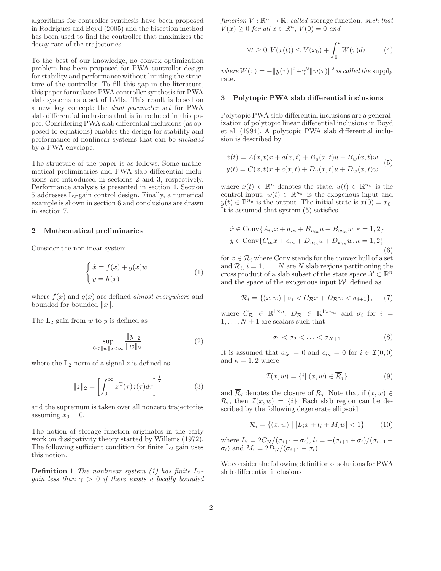algorithms for controller synthesis have been proposed in Rodrigues and Boyd (2005) and the bisection method has been used to find the controller that maximizes the decay rate of the trajectories.

To the best of our knowledge, no convex optimization problem has been proposed for PWA controller design for stability and performance without limiting the structure of the controller. To fill this gap in the literature, this paper formulates PWA controller synthesis for PWA slab systems as a set of LMIs. This result is based on a new key concept: the *dual parameter set* for PWA slab differential inclusions that is introduced in this paper. Considering PWA slab differential inclusions (as opposed to equations) enables the design for stability and performance of nonlinear systems that can be *included* by a PWA envelope.

The structure of the paper is as follows. Some mathematical preliminaries and PWA slab differential inclusions are introduced in sections 2 and 3, respectively. Performance analysis is presented in section 4. Section  $5$  addresses  $L_2$ -gain control design. Finally, a numerical example is shown in section 6 and conclusions are drawn in section 7.

# **2 Mathematical preliminaries**

Consider the nonlinear system

$$
\begin{cases} \n\dot{x} = f(x) + g(x)w \\
y = h(x) \n\end{cases} \n\tag{1}
$$

where  $f(x)$  and  $g(x)$  are defined *almost everywhere* and bounded for bounded  $||x||$ .

The  $L_2$  gain from  $w$  to  $y$  is defined as

$$
\sup_{0 < \|w\|_2 < \infty} \frac{\|y\|_2}{\|w\|_2} \tag{2}
$$

where the  $L_2$  norm of a signal z is defined as

$$
||z||_2 = \left[\int_0^\infty z^{\mathrm{T}}(\tau)z(\tau)d\tau\right]^{\frac{1}{2}}\tag{3}
$$

and the supremum is taken over all nonzero trajectories assuming  $x_0 = 0$ .

The notion of storage function originates in the early work on dissipativity theory started by Willems (1972). The following sufficient condition for finite  $L_2$  gain uses this notion.

**Definition 1** *The nonlinear system (1) has finite L*2 *gain less than* γ > 0 *if there exists a locally bounded*  $function V : \mathbb{R}^n \to \mathbb{R}$ *, called* storage function, such that  $V(x) \geq 0$  *for all*  $x \in \mathbb{R}^n$ ,  $V(0) = 0$  *and* 

$$
\forall t \ge 0, V(x(t)) \le V(x_0) + \int_0^t W(\tau) d\tau \tag{4}
$$

*where*  $W(\tau) = -||y(\tau)||^2 + \gamma^2 ||w(\tau)||^2$  *is called the* supply rate*.*

## **3 Polytopic PWA slab differential inclusions**

Polytopic PWA slab differential inclusions are a generalization of polytopic linear differential inclusions in Boyd et al. (1994). A polytopic PWA slab differential inclusion is described by

$$
\dot{x}(t) = A(x, t)x + a(x, t) + B_u(x, t)u + B_w(x, t)w
$$
  
\n
$$
y(t) = C(x, t)x + c(x, t) + D_u(x, t)u + D_w(x, t)w
$$
 (5)

where  $x(t) \in \mathbb{R}^n$  denotes the state,  $u(t) \in \mathbb{R}^{n_u}$  is the control input,  $w(t) \in \mathbb{R}^{n_w}$  is the exogenous input and  $y(t) \in \mathbb{R}^{n_y}$  is the output. The initial state is  $x(0) = x_0$ . It is assumed that system (5) satisfies

$$
\dot{x} \in \text{Conv}\{A_{i\kappa}x + a_{i\kappa} + B_{u_{i\kappa}}u + B_{w_{i\kappa}}w, \kappa = 1, 2\}
$$
  

$$
y \in \text{Conv}\{C_{i\kappa}x + c_{i\kappa} + D_{u_{i\kappa}}u + D_{w_{i\kappa}}w, \kappa = 1, 2\}
$$
  
(6)

for  $x \in \mathcal{R}_i$  where Conv stands for the convex hull of a set and  $\mathcal{R}_i$ ,  $i = 1, \ldots, N$  are N slab regions partitioning the cross product of a slab subset of the state space  $\mathcal{X} \subset \mathbb{R}^n$ and the space of the exogenous input  $W$ , defined as

$$
\mathcal{R}_i = \{(x, w) \mid \sigma_i < C_{\mathcal{R}}x + D_{\mathcal{R}}w < \sigma_{i+1}\},\tag{7}
$$

where  $C_{\mathcal{R}} \in \mathbb{R}^{1 \times n}$ ,  $D_{\mathcal{R}} \in \mathbb{R}^{1 \times n_w}$  and  $\sigma_i$  for  $i =$  $1,\ldots,N+1$  are scalars such that

$$
\sigma_1 < \sigma_2 < \ldots < \sigma_{N+1} \tag{8}
$$

It is assumed that  $a_{i\kappa} = 0$  and  $c_{i\kappa} = 0$  for  $i \in \mathcal{I}(0,0)$ and  $\kappa = 1, 2$  where

$$
\mathcal{I}(x, w) = \{i \mid (x, w) \in \overline{\mathcal{R}}_i\}
$$
\n(9)

and  $\overline{\mathcal{R}}_i$  denotes the closure of  $\mathcal{R}_i$ . Note that if  $(x, w) \in$  $\mathcal{R}_i$ , then  $\mathcal{I}(x, w) = \{i\}$ . Each slab region can be described by the following degenerate ellipsoid

$$
\mathcal{R}_i = \{(x, w) \mid |L_i x + l_i + M_i w| < 1\} \tag{10}
$$

where  $L_i = 2C_{\mathcal{R}}/(\sigma_{i+1} - \sigma_i), l_i = -(\sigma_{i+1} + \sigma_i)/(\sigma_{i+1} - \sigma_i)$  $\sigma_i$ ) and  $M_i = 2D_{\mathcal{R}}/(\sigma_{i+1} - \sigma_i)$ .

We consider the following definition of solutions for PWA slab differential inclusions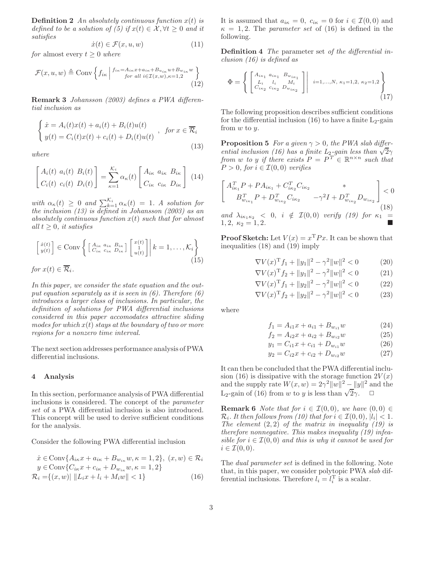**Definition 2** An absolutely continuous function  $x(t)$  is *defined to be a solution of (5) if*  $x(t) \in \mathcal{X}, \forall t > 0$  *and it satisfies*

$$
\dot{x}(t) \in \mathcal{F}(x, u, w) \tag{11}
$$

*for* almost every  $t \geq 0$  *where* 

$$
\mathcal{F}(x, u, w) \triangleq \text{Conv}\left\{f_{i\kappa}\left|\begin{array}{c}f_{i\kappa} = A_{i\kappa}x + a_{i\kappa} + B_{u_{i\kappa}}u + B_{w_{i\kappa}}w\\for \text{ all } i \in \mathcal{I}(x, w), \kappa = 1, 2\end{array}\right\}\right\}
$$
\n(12)

**Remark 3** *Johansson (2003) defines a PWA differential inclusion as*

$$
\begin{cases}\n\dot{x} = A_i(t)x(t) + a_i(t) + B_i(t)u(t) \\
y(t) = C_i(t)x(t) + c_i(t) + D_i(t)u(t)\n\end{cases}, \text{ for } x \in \overline{\mathcal{R}}_i
$$
\n(13)

*where*

$$
\begin{bmatrix} A_i(t) & a_i(t) & B_i(t) \ C_i(t) & c_i(t) & D_i(t) \end{bmatrix} = \sum_{\kappa=1}^{\mathcal{K}_i} \alpha_{\kappa}(t) \begin{bmatrix} A_{i\kappa} & a_{i\kappa} & B_{i\kappa} \ C_{i\kappa} & c_{i\kappa} & D_{i\kappa} \end{bmatrix}
$$
(14)

with  $\alpha_{\kappa}(t) \geq 0$  and  $\sum_{k=1}^{\kappa_i} \alpha_{\kappa}(t) = 1$ . A solution for *the inclusion (13) is defined in Johansson (2003) as an absolutely continuous function* x(t) *such that for almost all*  $t \geq 0$ *, it satisfies* 

$$
\begin{bmatrix} \dot{x}(t) \\ y(t) \end{bmatrix} \in \text{Conv} \left\{ \begin{bmatrix} A_{i\kappa} & a_{i\kappa} & B_{i\kappa} \\ C_{i\kappa} & c_{i\kappa} & D_{i\kappa} \end{bmatrix} \begin{bmatrix} x(t) \\ 1 \\ u(t) \end{bmatrix} \middle| k = 1, \dots, \mathcal{K}_i \right\}
$$
  
for  $x(t) \in \overline{\mathcal{R}}_i$ . (15)

*In this paper, we consider the state equation and the output equation separately as it is seen in (6). Therefore (6) introduces a larger class of inclusions. In particular, the definition of solutions for PWA differential inclusions considered in this paper accomodates attractive sliding modes for which* x(t) *stays at the boundary of two or more regions for a nonzero time interval.*

The next section addresses performance analysis of PWA differential inclusions.

# **4 Analysis**

In this section, performance analysis of PWA differential inclusions is considered. The concept of the *parameter set* of a PWA differential inclusion is also introduced. This concept will be used to derive sufficient conditions for the analysis.

Consider the following PWA differential inclusion

$$
\begin{aligned} \n\dot{x} \in \text{Conv}\{A_{i\kappa}x + a_{i\kappa} + B_{w_{i\kappa}}w, \kappa = 1, 2\}, \ (x, w) \in \mathcal{R}_i\\ \ny \in \text{Conv}\{C_{i\kappa}x + c_{i\kappa} + D_{w_{i\kappa}}w, \kappa = 1, 2\} \n\end{aligned}
$$

$$
\mathcal{R}_i = \{(x, w) | \|L_ix + l_i + M_iw\| < 1\} \tag{16}
$$

It is assumed that  $a_{i\kappa} = 0$ ,  $c_{i\kappa} = 0$  for  $i \in \mathcal{I}(0,0)$  and  $\kappa = 1, 2$ . The *parameter set* of (16) is defined in the following.

**Definition 4** *The* parameter set *of the differential inclusion (16) is defined as*

$$
\Phi = \left\{ \begin{bmatrix} A_{i\kappa_1} & a_{i\kappa_1} & B_{w_{i\kappa_1}} \\ L_i & l_i & M_i \\ C_{i\kappa_2} & c_{i\kappa_2} & D_{w_{i\kappa_2}} \end{bmatrix} \middle| i=1,...,N, \kappa_1=1,2, \kappa_2=1,2 \right\}
$$
\n(17)

The following proposition describes sufficient conditions for the differential inclusion  $(16)$  to have a finite L<sub>2</sub>-gain from w to y.

**Proposition 5** *For a given*  $\gamma > 0$ *, the PWA slab differential inclusion (16) has a finite L*<sub>2</sub>*-gain less than*  $\sqrt{2\gamma}$ *from* w to y *if there exists*  $P = P^T \in \mathbb{R}^{n \times n}$  *such that*  $P > 0$ , for  $i \in \mathcal{I}(0,0)$  verifies

$$
\begin{bmatrix}\nA_{i\kappa_1}^T P + P A_{i\kappa_1} + C_{i\kappa_2}^T C_{i\kappa_2} & * \\
B_{w_{i\kappa_1}}^T P + D_{w_{i\kappa_2}}^T C_{i\kappa_2} & -\gamma^2 I + D_{w_{i\kappa_2}}^T D_{w_{i\kappa_2}}\n\end{bmatrix} < 0
$$
\nand\n
$$
\lambda_{i\kappa_1\kappa_2} < 0, \quad i \notin \mathcal{I}(0,0) \quad \text{verify (19) for } \kappa_1 = 1, 2, \quad \kappa_2 = 1, 2.
$$
\n
$$
\blacksquare
$$

**Proof Sketch:** Let  $V(x) = x^T P x$ . It can be shown that inequalities  $(18)$  and  $(19)$  imply

$$
\nabla V(x)^{\mathrm{T}} f_1 + ||y_1||^2 - \gamma^2 ||w||^2 < 0 \tag{20}
$$

$$
\nabla V(x)^{\mathrm{T}} f_2 + ||y_1||^2 - \gamma^2 ||w||^2 < 0 \tag{21}
$$

$$
\nabla V(x)^{\mathrm{T}} f_1 + \|y_2\|^2 - \gamma^2 \|w\|^2 < 0 \tag{22}
$$

$$
\nabla V(x)^{\mathrm{T}} f_2 + ||y_2||^2 - \gamma^2 ||w||^2 < 0 \tag{23}
$$

where

$$
f_1 = A_{i1}x + a_{i1} + B_{w_{i1}}w \tag{24}
$$

$$
f_2 = A_{i2}x + a_{i2} + B_{w_{i2}}w \tag{25}
$$

$$
y_1 = C_{i1}x + c_{i1} + D_{w_{i1}}w \tag{26}
$$

$$
y_2 = C_{i2}x + c_{i2} + D_{w_{i2}}w \tag{27}
$$

It can then be concluded that the PWA differential inclusion (16) is dissipative with the storage function  $2V(x)$ and the supply rate  $W(x, w) = 2\gamma^2 ||w||^2 - ||y||^2$  and the and the supply rate  $W(x, w) = 2\gamma ||w|| - ||y||$  and  $L_2$ -gain of (16) from w to y is less than  $\sqrt{2}\gamma$ .

**Remark 6** *Note that for*  $i \in \mathcal{I}(0,0)$ *, we have*  $(0,0) \in$  $\mathcal{R}_i$ *. It then follows from (10) that for*  $i \in \mathcal{I}(0,0)$ *,*  $|l_i| < 1$ *. The element* (2, 2) *of the matrix in inequality (19) is therefore nonnegative. This makes inequality (19) infeasible for*  $i \in \mathcal{I}(0,0)$  *and this is why it cannot be used for*  $i \in \mathcal{I}(0,0)$ .

The *dual parameter set* is defined in the following. Note that, in this paper, we consider polytopic PWA *slab* differential inclusions. Therefore  $l_i = l_i^{\mathrm{T}}$  is a scalar.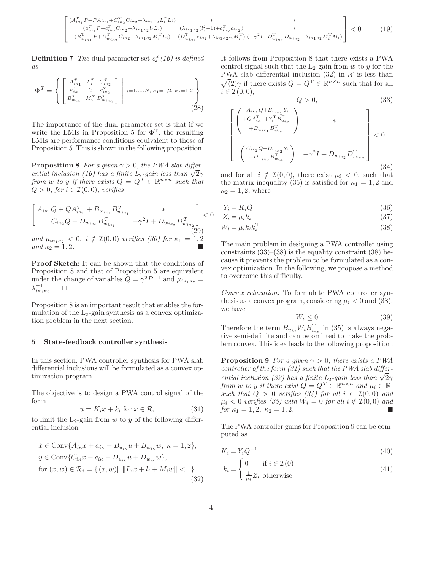$$
\begin{bmatrix}\n(A_{i\kappa_1}^{\mathrm{T}} P + P A_{i\kappa_1} + C_{i\kappa_2}^{\mathrm{T}} C_{i\kappa_2} + \lambda_{i\kappa_1\kappa_2} L_i^{\mathrm{T}} L_i) & * & * \\
(a_{i\kappa_1}^{\mathrm{T}} P + c_{i\kappa_2}^{\mathrm{T}} C_{i\kappa_2} + \lambda_{i\kappa_1\kappa_2} l_i L_i) & (\lambda_{i\kappa_1\kappa_2} (l_i^2 - 1) + c_{i\kappa_2}^{\mathrm{T}} c_{i\kappa_2}) & * \\
(B_{w_{i\kappa_1}}^{\mathrm{T}} P + D_{w_{i\kappa_2}}^{\mathrm{T}} C_{i\kappa_2} + \lambda_{i\kappa_1\kappa_2} M_i^{\mathrm{T}} L_i) & (D_{w_{i\kappa_2}}^{\mathrm{T}} c_{i\kappa_2} + \lambda_{i\kappa_1\kappa_2} l_i M_i^{\mathrm{T}}) & (-\gamma^2 I + D_{w_{i\kappa_2}}^{\mathrm{T}} D_{w_{i\kappa_2}} + \lambda_{i\kappa_1\kappa_2} M_i^{\mathrm{T}} M_i)\n\end{bmatrix} < 0\n\tag{19}
$$

**Definition 7** *The* dual parameter set *of (16) is defined as*

$$
\Phi^{T} = \left\{ \begin{bmatrix} A_{i\kappa_1}^T & L_i^T & C_{i\kappa_2}^T \\ a_{i\kappa_1}^T & l_i & c_{i\kappa_2}^T \\ B_{w_{i\kappa_1}}^T & M_i^T & D_{w_{i\kappa_2}}^T \end{bmatrix} \ \middle| \ i=1,\ldots,N, \ \kappa_1 = 1,2, \ \kappa_2 = 1,2 \right\}
$$
\n(28)

The importance of the dual parameter set is that if we write the LMIs in Proposition 5 for  $\Phi^T$ , the resulting LMIs are performance conditions equivalent to those of Proposition 5. This is shown in the following proposition.

**Proposition 8** *For a given*  $\gamma > 0$ *, the PWA slab differential inclusion (16) has a finite L*<sub>2</sub>*-gain less than*  $\sqrt{2}\gamma$ *from* w to y *if there exists*  $Q = Q^T \in \mathbb{R}^{n \times n}$  *such that*  $Q > 0$ *, for*  $i \in \mathcal{I}(0,0)$ *, verifies* 

$$
\begin{bmatrix}\nA_{i\kappa_1}Q + QA_{i\kappa_1}^T + B_{w_{i\kappa_1}}B_{w_{i\kappa_1}}^T & * \\
C_{i\kappa_2}Q + D_{w_{i\kappa_2}}B_{w_{i\kappa_1}}^T & -\gamma^2 I + D_{w_{i\kappa_2}}D_{w_{i\kappa_2}}^T\n\end{bmatrix} < 0
$$
\n(29)

*and*  $\mu_{i\kappa_1\kappa_2} < 0$ ,  $i \notin \mathcal{I}(0, 0)$  *verifies (30) for*  $\kappa_1 = 1, 2$  $\int \tan \kappa_2 = 1, 2.$ 

**Proof Sketch:** It can be shown that the conditions of Proposition 8 and that of Proposition 5 are equivalent under the change of variables  $Q = \gamma^2 P^{-1}$  and  $\mu_{i\kappa_1\kappa_2}$  $\lambda_{i\kappa_1\kappa_2}^{-1}$ .  $\Box$ 

Proposition 8 is an important result that enables the formulation of the  $L_2$ -gain synthesis as a convex optimization problem in the next section.

#### **5 State-feedback controller synthesis**

In this section, PWA controller synthesis for PWA slab differential inclusions will be formulated as a convex optimization program.

The objective is to design a PWA control signal of the form

$$
u = K_i x + k_i \text{ for } x \in \mathcal{R}_i \tag{31}
$$

to limit the  $L_2$ -gain from w to y of the following differential inclusion

$$
\dot{x} \in \text{Conv}\{A_{i\kappa}x + a_{i\kappa} + B_{u_{i\kappa}}u + B_{w_{i\kappa}}w, \ \kappa = 1, 2\},
$$
\n
$$
y \in \text{Conv}\{C_{i\kappa}x + c_{i\kappa} + D_{u_{i\kappa}}u + D_{w_{i\kappa}}w\},
$$
\n
$$
\text{for } (x, w) \in \mathcal{R}_i = \{(x, w) | \|L_ix + l_i + M_iw\| < 1\}
$$
\n(32)

It follows from Proposition 8 that there exists a PWA control signal such that the  $L_2$ -gain from w to y for the PWA slab differential inclusion  $(32)$  in X is less than  $\sqrt{2}\gamma$  if there exists  $Q = Q^{\mathrm{T}} \in \mathbb{R}^{n \times n}$  such that for all  $i \in \mathcal{I}(0,0),$ 

$$
Q > 0,
$$
\n(33)\n
$$
\begin{bmatrix}\nA_{i\kappa_1}Q + B_{u_{i\kappa_1}}Y_i \\
+ QA_{i\kappa_1}^{\mathrm{T}} + Y_i^{\mathrm{T}}B_{u_{i\kappa_1}}^{\mathrm{T}} \\
+ B_{w_{i\kappa_1}}B_{w_{i\kappa_1}}^{\mathrm{T}}\n\end{bmatrix} * \begin{bmatrix}\n\end{bmatrix}
$$
\n
$$
\begin{bmatrix}\nC_{i\kappa_2}Q + D_{u_{i\kappa_2}}Y_i \\
+ D_{w_{i\kappa_2}}B_{w_{i\kappa_1}}^{\mathrm{T}}\n\end{bmatrix} - \gamma^2 I + D_{w_{i\kappa_2}}D_{w_{i\kappa_2}}^{\mathrm{T}}\n\begin{bmatrix}\n\end{bmatrix}
$$
\n(34)

and for all  $i \notin \mathcal{I}(0, 0)$ , there exist  $\mu_i < 0$ , such that the matrix inequality (35) is satisfied for  $\kappa_1 = 1, 2$  and  $\kappa_2 = 1, 2$ , where

$$
Y_i = K_i Q \tag{36}
$$

$$
Z_i = \mu_i k_i \tag{37}
$$

$$
W_i = \mu_i k_i k_i^{\mathrm{T}} \tag{38}
$$

The main problem in designing a PWA controller using constraints  $(33)$ – $(38)$  is the equality constraint  $(38)$  because it prevents the problem to be formulated as a convex optimization. In the following, we propose a method to overcome this difficulty.

*Convex relaxation:* To formulate PWA controller synthesis as a convex program, considering  $\mu_i < 0$  and (38), we have

$$
W_i \le 0 \tag{39}
$$

Therefore the term  $B_{u_{ik}} W_i B_{u_{ik}}^{\mathrm{T}}$  in (35) is always negative semi-definite and can be omitted to make the problem convex. This idea leads to the following proposition.

**Proposition 9** *For a given*  $\gamma > 0$ *, there exists a PWA controller of the form (31) such that the PWA slab differential inclusion (32) has a finite*  $L_2$ *-gain less than*  $\sqrt{2\gamma}$ *from* w *to* y *if there exist*  $\tilde{Q} = Q^T \in \mathbb{R}^{n \times n}$  and  $\mu_i \in \mathbb{R}$ , *such that*  $Q > 0$  *verifies (34) for all*  $i \in \mathcal{I}(0,0)$  *and*  $\mu_i < 0$  verifies (35) with  $W_i = 0$  for all  $i \notin \mathcal{I}(0, 0)$  and *for*  $\kappa_1 = 1, 2, \ \kappa_2 = 1, 2.$ 

The PWA controller gains for Proposition 9 can be computed as

$$
K_i = Y_i Q^{-1} \tag{40}
$$

$$
k_i = \begin{cases} 0 & \text{if } i \in \mathcal{I}(0) \\ \frac{1}{\mu_i} Z_i & \text{otherwise} \end{cases}
$$
 (41)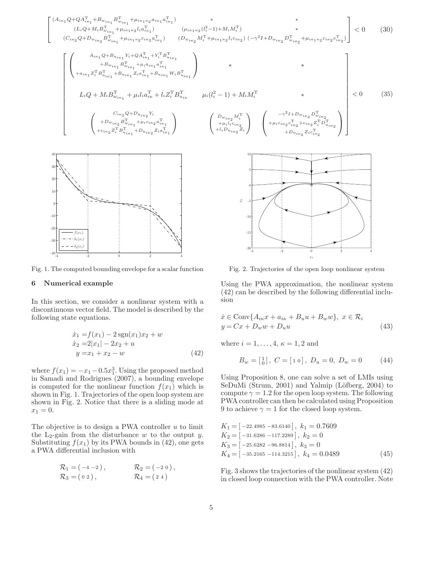

Fig. 1. The computed bounding envelope for a scalar function

#### Numerical example 6

In this section, we consider a nonlinear system with a discontinuous vector field. The model is described by the following state equations.

$$
\begin{aligned}\n\dot{x}_1 &= f(x_1) - 2\operatorname{sgn}(x_1)x_2 + w \\
\dot{x}_2 &= 2|x_1| - 2x_2 + u \\
y &= x_1 + x_2 - w\n\end{aligned} \tag{42}
$$

where  $f(x_1) = -x_1 - 0.5x_1^3$ . Using the proposed method in Samadi and Rodrigues (2007), a bounding envelope is computed for the nonlinear function  $f(x_1)$  which is shown in Fig. 1. Trajectories of the open loop system are shown in Fig. 2. Notice that there is a sliding mode at  $x_1 = 0.$ 

The objective is to design a PWA controller  $u$  to limit the L<sub>2</sub>-gain from the disturbance  $w$  to the output  $y$ . Substituting  $f(x_1)$  by its PWA bounds in (42), one gets a PWA differential inclusion with

$$
\mathcal{R}_1 = (-4 - 2), \qquad \mathcal{R}_2 = (-2 0), \n\mathcal{R}_3 = (0 2), \qquad \mathcal{R}_4 = (2 4)
$$

Fig. 2. Trajectories of the open loop nonlinear system

Using the PWA approximation, the nonlinear system  $(42)$  can be described by the following differential inclusion

$$
\begin{aligned} \n\dot{x} &\in \text{Conv}\{A_{i\kappa}x + a_{i\kappa} + B_u u + B_w w\}, \ x \in \mathcal{R}_i \\ \ny &= Cx + D_w w + D_u u \n\end{aligned} \tag{43}
$$

where  $i = 1, ..., 4, \kappa = 1, 2$  and

$$
B_w = \begin{bmatrix} 1 \\ 0 \end{bmatrix}, C = \begin{bmatrix} 1 & 0 \end{bmatrix}, D_u = 0, D_w = 0 \tag{44}
$$

Using Proposition 8, one can solve a set of LMIs using SeDuMi (Strum, 2001) and Yalmip (Löfberg, 2004) to compute  $\gamma = 1.2$  for the open loop system. The following PWA controller can then be calculated using Proposition 9 to achieve  $\gamma = 1$  for the closed loop system.

$$
K_1 = [-22.4985 - 83.6140], k_1 = 0.7609
$$
  
\n
$$
K_2 = [-31.6286 - 117.2289], k_2 = 0
$$
  
\n
$$
K_3 = [-25.6282 - 96.8814], k_3 = 0
$$
  
\n
$$
K_4 = [-35.2165 - 114.3215], k_4 = 0.0489
$$
\n(45)

Fig. 3 shows the trajectories of the nonlinear system  $(42)$ in closed loop connection with the PWA controller. Note